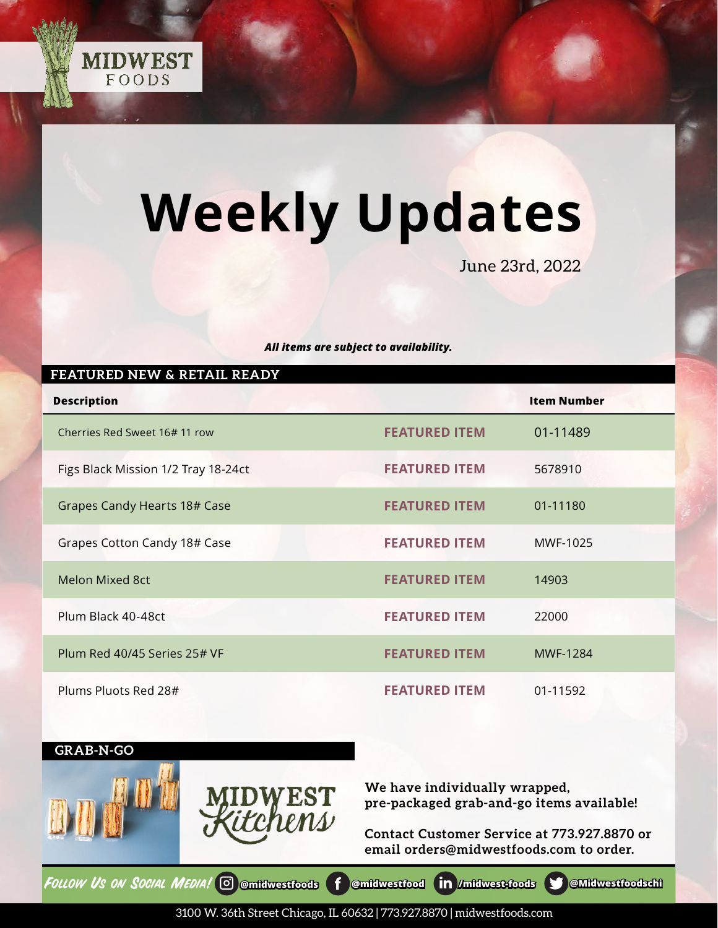

# **Weekly Updates**

June 23rd, 2022

#### *All items are subject to availability.*

| FEATURED NEW & RETAIL READY         |                      |                    |  |
|-------------------------------------|----------------------|--------------------|--|
| <b>Description</b>                  |                      | <b>Item Number</b> |  |
| Cherries Red Sweet 16# 11 row       | <b>FEATURED ITEM</b> | 01-11489           |  |
| Figs Black Mission 1/2 Tray 18-24ct | <b>FEATURED ITEM</b> | 5678910            |  |
| Grapes Candy Hearts 18# Case        | <b>FEATURED ITEM</b> | 01-11180           |  |
| Grapes Cotton Candy 18# Case        | <b>FEATURED ITEM</b> | MWF-1025           |  |
| <b>Melon Mixed 8ct</b>              | <b>FEATURED ITEM</b> | 14903              |  |
| Plum Black 40-48ct                  | <b>FEATURED ITEM</b> | 22000              |  |
| Plum Red 40/45 Series 25# VF        | <b>FEATURED ITEM</b> | <b>MWF-1284</b>    |  |
| Plums Pluots Red 28#                | <b>FEATURED ITEM</b> | 01-11592           |  |

### **GRAB-N-GO**





**We have individually wrapped, pre-packaged grab-and-go items available!**

**Contact Customer Service at 773.927.8870 or email orders@midwestfoods.com to order.**

FOLLOW Us ON SOCIAL MEDIA! © [@midwestfoods](https://www.instagram.com/midwestfoods/) **f** [@midwestfood](https://www.facebook.com/midwestfood) **in** [/midwest-foods](https://www.linkedin.com/company/midwest-foods) § [@Midwestfoodschi](https://twitter.com/Midwestfoodschi)

3100 W. 36th Street Chicago, IL 60632 | 773.927.8870 | midwestfoods.com